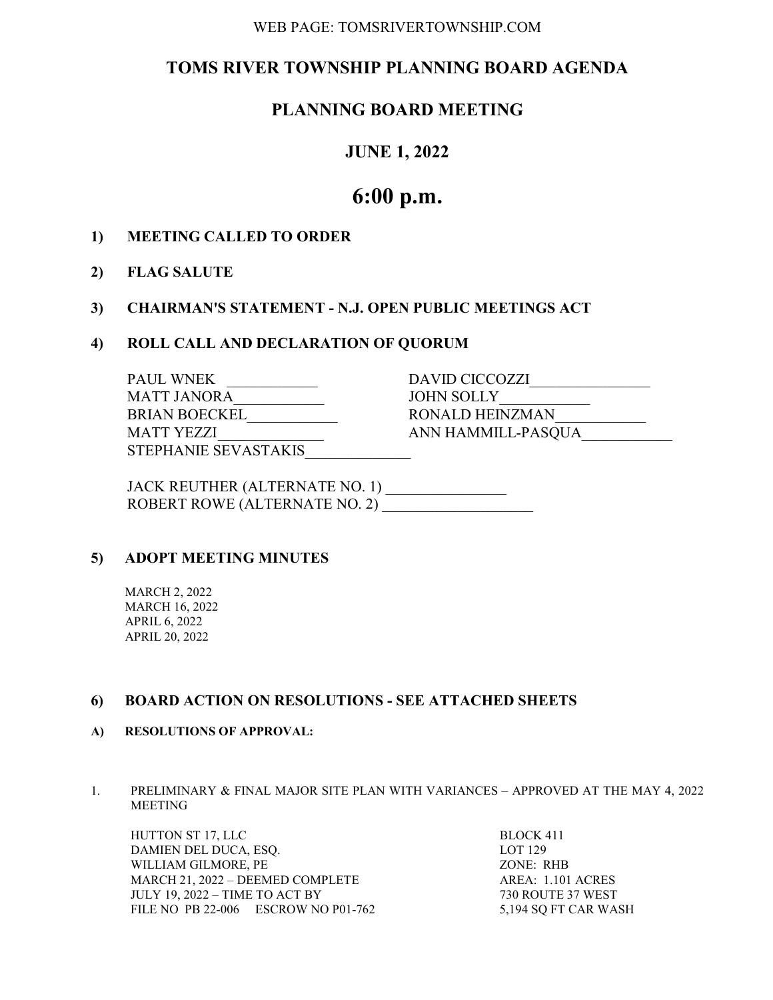#### WEB PAGE: TOMSRIVERTOWNSHIP.COM

# TOMS RIVER TOWNSHIP PLANNING BOARD AGENDA

# PLANNING BOARD MEETING

## JUNE 1, 2022

# 6:00 p.m.

### 1) MEETING CALLED TO ORDER

### 2) FLAG SALUTE

### 3) CHAIRMAN'S STATEMENT - N.J. OPEN PUBLIC MEETINGS ACT

#### 4) ROLL CALL AND DECLARATION OF QUORUM

| <b>PAUL WNEK</b>     | DAVID CICCOZZI     |
|----------------------|--------------------|
| <b>MATT JANORA</b>   | <b>JOHN SOLLY</b>  |
| <b>BRIAN BOECKEL</b> | RONALD HEINZMAN    |
| MATT YEZZI           | ANN HAMMILL-PASQUA |
| STEPHANIE SEVASTAKIS |                    |
|                      |                    |

| JACK REUTHER (ALTERNATE NO. 1) |  |
|--------------------------------|--|
| ROBERT ROWE (ALTERNATE NO. 2)  |  |

## 5) ADOPT MEETING MINUTES

 MARCH 2, 2022 MARCH 16, 2022 APRIL 6, 2022 APRIL 20, 2022

#### 6) BOARD ACTION ON RESOLUTIONS - SEE ATTACHED SHEETS

#### A) RESOLUTIONS OF APPROVAL:

1. PRELIMINARY & FINAL MAJOR SITE PLAN WITH VARIANCES – APPROVED AT THE MAY 4, 2022 MEETING

HUTTON ST 17, LLC BLOCK 411 DAMIEN DEL DUCA, ESQ. LOT 129 WILLIAM GILMORE, PE ZONE: RHB MARCH 21, 2022 – DEEMED COMPLETE AREA: 1.101 ACRES JULY 19, 2022 – TIME TO ACT BY 730 ROUTE 37 WEST FILE NO PB 22-006 ESCROW NO P01-762 5,194 SQ FT CAR WASH